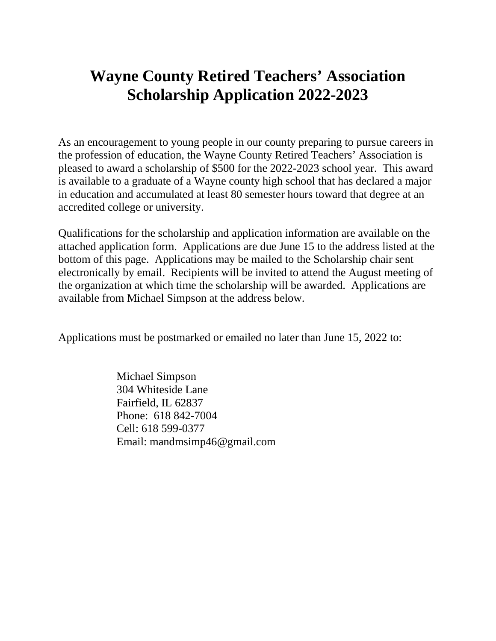# **Wayne County Retired Teachers' Association Scholarship Application 2022-2023**

As an encouragement to young people in our county preparing to pursue careers in the profession of education, the Wayne County Retired Teachers' Association is pleased to award a scholarship of \$500 for the 2022-2023 school year. This award is available to a graduate of a Wayne county high school that has declared a major in education and accumulated at least 80 semester hours toward that degree at an accredited college or university.

Qualifications for the scholarship and application information are available on the attached application form. Applications are due June 15 to the address listed at the bottom of this page. Applications may be mailed to the Scholarship chair sent electronically by email. Recipients will be invited to attend the August meeting of the organization at which time the scholarship will be awarded. Applications are available from Michael Simpson at the address below.

Applications must be postmarked or emailed no later than June 15, 2022 to:

 Michael Simpson 304 Whiteside Lane Fairfield, IL 62837 Phone: 618 842-7004 Cell: 618 599-0377 Email: mandmsimp46@gmail.com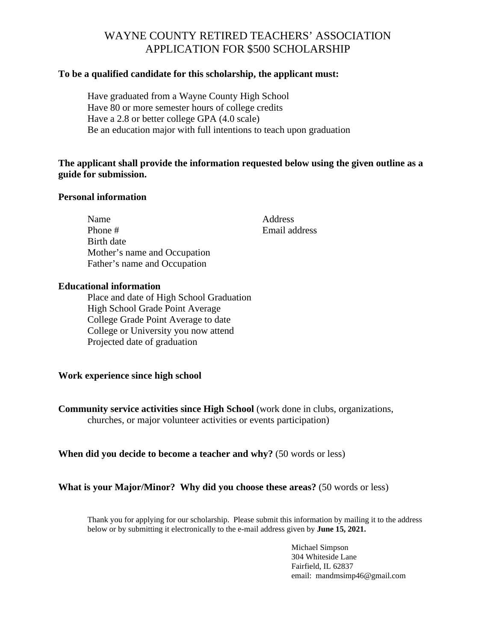# WAYNE COUNTY RETIRED TEACHERS' ASSOCIATION APPLICATION FOR \$500 SCHOLARSHIP

#### **To be a qualified candidate for this scholarship, the applicant must:**

Have graduated from a Wayne County High School Have 80 or more semester hours of college credits Have a 2.8 or better college GPA (4.0 scale) Be an education major with full intentions to teach upon graduation

### **The applicant shall provide the information requested below using the given outline as a guide for submission.**

#### **Personal information**

| Name                         | Address       |
|------------------------------|---------------|
| Phone #                      | Email address |
| Birth date                   |               |
| Mother's name and Occupation |               |
| Father's name and Occupation |               |
|                              |               |

## **Educational information**

Place and date of High School Graduation High School Grade Point Average College Grade Point Average to date College or University you now attend Projected date of graduation

#### **Work experience since high school**

**Community service activities since High School** (work done in clubs, organizations, churches, or major volunteer activities or events participation)

#### **When did you decide to become a teacher and why?** (50 words or less)

#### **What is your Major/Minor? Why did you choose these areas?** (50 words or less)

Thank you for applying for our scholarship. Please submit this information by mailing it to the address below or by submitting it electronically to the e-mail address given by **June 15, 2021.**

> Michael Simpson 304 Whiteside Lane Fairfield, IL 62837 email: mandmsimp46@gmail.com